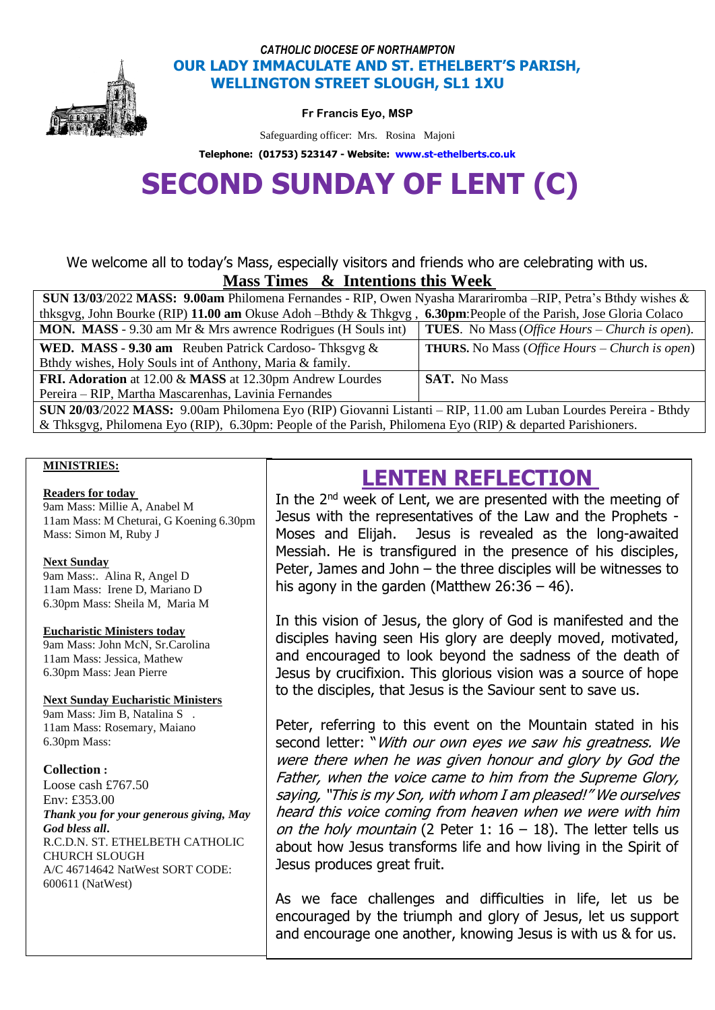

## *CATHOLIC DIOCESE OF NORTHAMPTON* **OUR LADY IMMACULATE AND ST. ETHELBERT'S PARISH, WELLINGTON STREET SLOUGH, SL1 1XU**

**Fr Francis Eyo, MSP** 

Safeguarding officer: Mrs. Rosina Majoni

**Telephone: (01753) 523147 - Website: [www.st-ethelberts.co.uk](http://www.st-ethelberts.co.uk/)**

# **SECOND SUNDAY OF LENT (C)**

We welcome all to today's Mass, especially visitors and friends who are celebrating with us. **Mass Times & Intentions this Week** 

| <b>SUN 13/03/2022 MASS: 9.00am Philomena Fernandes - RIP, Owen Nyasha Marariromba</b> - RIP, Petra's Bthdy wishes & |                                                                |
|---------------------------------------------------------------------------------------------------------------------|----------------------------------------------------------------|
| thksgyg, John Bourke (RIP) 11.00 am Okuse Adoh – Bthdy & Thkgyg, 6.30pm: People of the Parish, Jose Gloria Colaco   |                                                                |
| MON. MASS - 9.30 am Mr & Mrs awrence Rodrigues (H Souls int)                                                        | <b>TUES.</b> No Mass ( <i>Office Hours – Church is open</i> ). |
| <b>WED. MASS - 9.30 am</b> Reuben Patrick Cardoso-Thksgvg $\&$                                                      | <b>THURS.</b> No Mass ( <i>Office Hours – Church is open</i> ) |
| Bthdy wishes, Holy Souls int of Anthony, Maria & family.                                                            |                                                                |
| FRI. Adoration at 12.00 & MASS at 12.30pm Andrew Lourdes                                                            | <b>SAT.</b> No Mass                                            |
| Pereira – RIP, Martha Mascarenhas, Lavinia Fernandes                                                                |                                                                |
| SUN 20/03/2022 MASS: 9.00am Philomena Eyo (RIP) Giovanni Listanti – RIP, 11.00 am Luban Lourdes Pereira - Bthdy     |                                                                |

& Thksgvg, Philomena Eyo (RIP), 6.30pm: People of the Parish, Philomena Eyo (RIP) & departed Parishioners.

#### **MINISTRIES:**

#### **Readers for today**

9am Mass: Millie A, Anabel M 11am Mass: M Cheturai, G Koening 6.30pm Mass: Simon M, Ruby J

#### **Next Sunday**

9am Mass:. Alina R, Angel D 11am Mass: Irene D, Mariano D 6.30pm Mass: Sheila M, Maria M

#### **Eucharistic Ministers today**

9am Mass: John McN, Sr.Carolina 11am Mass: Jessica, Mathew 6.30pm Mass: Jean Pierre

#### **Next Sunday Eucharistic Ministers**

9am Mass: Jim B, Natalina S . 11am Mass: Rosemary, Maiano 6.30pm Mass:

#### **Collection :**

Loose cash £767.50 Env: £353.00 *Thank you for your generous giving, May God bless all***.**  R.C.D.N. ST. ETHELBETH CATHOLIC CHURCH SLOUGH A/C 46714642 NatWest SORT CODE: 600611 (NatWest)

# **LENTEN REFLECTION**

In the 2<sup>nd</sup> week of Lent, we are presented with the meeting of Jesus with the representatives of the Law and the Prophets - Moses and Elijah. Jesus is revealed as the long-awaited Messiah. He is transfigured in the presence of his disciples, Peter, James and John – the three disciples will be witnesses to his agony in the garden (Matthew  $26:36 - 46$ ).

In this vision of Jesus, the glory of God is manifested and the disciples having seen His glory are deeply moved, motivated, and encouraged to look beyond the sadness of the death of Jesus by crucifixion. This glorious vision was a source of hope to the disciples, that Jesus is the Saviour sent to save us.

Peter, referring to this event on the Mountain stated in his second letter: "With our own eyes we saw his greatness. We were there when he was given honour and glory by God the Father, when the voice came to him from the Supreme Glory, saying, "This is my Son, with whom I am pleased!" We ourselves heard this voice coming from heaven when we were with him on the holy mountain (2 Peter 1:  $16 - 18$ ). The letter tells us about how Jesus transforms life and how living in the Spirit of Jesus produces great fruit.

As we face challenges and difficulties in life, let us be encouraged by the triumph and glory of Jesus, let us support and encourage one another, knowing Jesus is with us & for us.